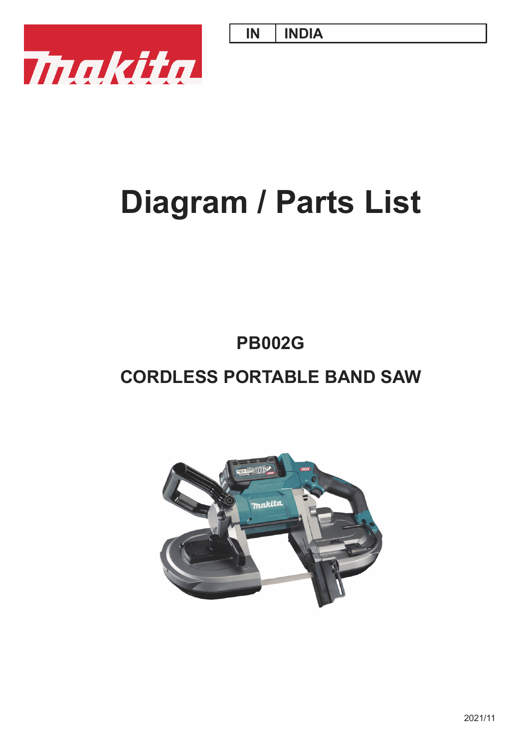**IN INDIA**



# **Diagram / Parts List**

## **PB002G**

## **CORDLESS PORTABLE BAND SAW**

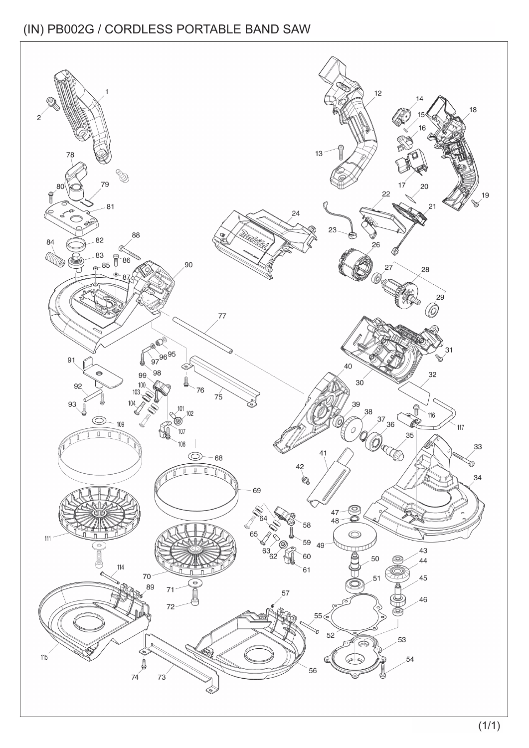(IN) PB002G / CORDLESS PORTABLE BAND SAW

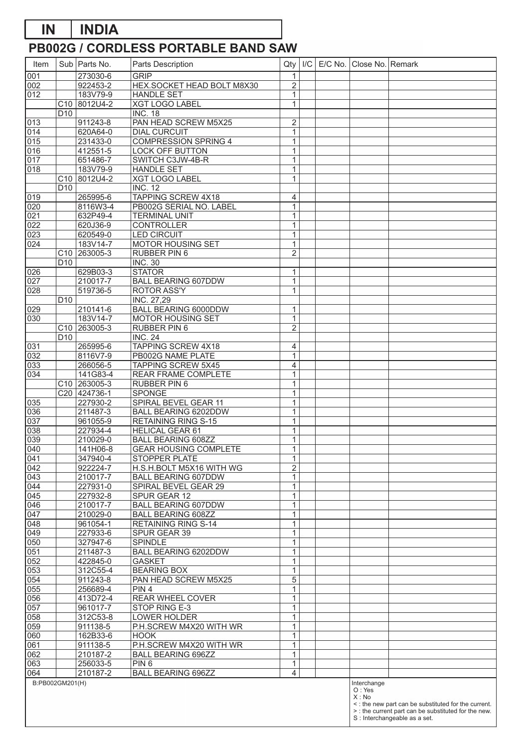#### **PB002G / CORDLESS PORTABLE BAND SAW IN INDIA**

| Item                    |                 | Sub   Parts No.                          | Parts Description                                      | Qty                            | I/C | E/C No. | Close No. Remark               |                                                                                                                                              |
|-------------------------|-----------------|------------------------------------------|--------------------------------------------------------|--------------------------------|-----|---------|--------------------------------|----------------------------------------------------------------------------------------------------------------------------------------------|
| $\overline{001}$        |                 | 273030-6                                 | <b>GRIP</b>                                            | 1                              |     |         |                                |                                                                                                                                              |
| 002                     |                 | 922453-2                                 | HEX.SOCKET HEAD BOLT M8X30                             | $\overline{2}$                 |     |         |                                |                                                                                                                                              |
| $\overline{012}$        |                 | 183V79-9                                 | <b>HANDLE SET</b>                                      | $\mathbf{1}$                   |     |         |                                |                                                                                                                                              |
|                         |                 | C10 8012U4-2                             | <b>XGT LOGO LABEL</b>                                  | 1                              |     |         |                                |                                                                                                                                              |
|                         | D <sub>10</sub> |                                          | <b>INC. 18</b>                                         |                                |     |         |                                |                                                                                                                                              |
| 013<br>$\overline{014}$ |                 | 911243-8<br>620A64-0                     | PAN HEAD SCREW M5X25<br><b>DIAL CURCUIT</b>            | $\overline{2}$<br>$\mathbf{1}$ |     |         |                                |                                                                                                                                              |
| 015                     |                 | 231433-0                                 | <b>COMPRESSION SPRING 4</b>                            | 1                              |     |         |                                |                                                                                                                                              |
| 016                     |                 | 412551-5                                 | LOCK OFF BUTTON                                        | 1                              |     |         |                                |                                                                                                                                              |
| 017                     |                 | 651486-7                                 | SWITCH C3JW-4B-R                                       | $\mathbf{1}$                   |     |         |                                |                                                                                                                                              |
| $\overline{018}$        |                 | 183V79-9                                 | <b>HANDLE SET</b>                                      | $\mathbf 1$                    |     |         |                                |                                                                                                                                              |
|                         |                 | C10 8012U4-2                             | <b>XGT LOGO LABEL</b>                                  | 1                              |     |         |                                |                                                                                                                                              |
|                         | D <sub>10</sub> |                                          | $\overline{\text{INC. 12}}$                            |                                |     |         |                                |                                                                                                                                              |
| $ 019\rangle$           |                 | 265995-6                                 | <b>TAPPING SCREW 4X18</b>                              | 4                              |     |         |                                |                                                                                                                                              |
| 020<br>021              |                 | 8116W3-4<br>632P49-4                     | PB002G SERIAL NO. LABEL<br><b>TERMINAL UNIT</b>        | $\mathbf{1}$<br>1              |     |         |                                |                                                                                                                                              |
| 022                     |                 | 620J36-9                                 | <b>CONTROLLER</b>                                      | $\mathbf{1}$                   |     |         |                                |                                                                                                                                              |
| $\overline{023}$        |                 | 620549-0                                 | <b>LED CIRCUIT</b>                                     | $\mathbf{1}$                   |     |         |                                |                                                                                                                                              |
| $\overline{024}$        |                 | 183V14-7                                 | <b>MOTOR HOUSING SET</b>                               | $\mathbf 1$                    |     |         |                                |                                                                                                                                              |
|                         |                 | C10 263005-3                             | RUBBER PIN 6                                           | $\overline{c}$                 |     |         |                                |                                                                                                                                              |
|                         | D <sub>10</sub> |                                          | <b>INC. 30</b>                                         |                                |     |         |                                |                                                                                                                                              |
| 026                     |                 | 629B03-3                                 | <b>STATOR</b>                                          | $\mathbf 1$                    |     |         |                                |                                                                                                                                              |
| 027                     |                 | 210017-7                                 | <b>BALL BEARING 607DDW</b>                             | $\mathbf 1$                    |     |         |                                |                                                                                                                                              |
| 028                     |                 | 519736-5                                 | ROTOR ASS'Y                                            | 1                              |     |         |                                |                                                                                                                                              |
| 029                     | D <sub>10</sub> | 210141-6                                 | INC. 27,29<br><b>BALL BEARING 6000DDW</b>              | $\mathbf 1$                    |     |         |                                |                                                                                                                                              |
| 030                     |                 | 183V14-7                                 | MOTOR HOUSING SET                                      | $\mathbf{1}$                   |     |         |                                |                                                                                                                                              |
|                         |                 | C <sub>10</sub> 263005-3                 | RUBBER PIN 6                                           | $\overline{\mathbf{c}}$        |     |         |                                |                                                                                                                                              |
|                         | D <sub>10</sub> |                                          | <b>INC. 24</b>                                         |                                |     |         |                                |                                                                                                                                              |
| 031                     |                 | 265995-6                                 | <b>TAPPING SCREW 4X18</b>                              | 4                              |     |         |                                |                                                                                                                                              |
| $\overline{032}$        |                 | 8116V7-9                                 | PB002G NAME PLATE                                      | $\mathbf 1$                    |     |         |                                |                                                                                                                                              |
| 033                     |                 | 266056-5                                 | <b>TAPPING SCREW 5X45</b>                              | 4                              |     |         |                                |                                                                                                                                              |
| 034                     |                 | 141G83-4                                 | REAR FRAME COMPLETE                                    | $\mathbf{1}$                   |     |         |                                |                                                                                                                                              |
|                         |                 | C <sub>10</sub> 263005-3<br>C20 424736-1 | RUBBER PIN 6<br>SPONGE                                 | $\mathbf{1}$<br>$\mathbf{1}$   |     |         |                                |                                                                                                                                              |
| 035                     |                 | 227930-2                                 | SPIRAL BEVEL GEAR 11                                   | $\mathbf{1}$                   |     |         |                                |                                                                                                                                              |
| 036                     |                 | 211487-3                                 | BALL BEARING 6202DDW                                   | 1                              |     |         |                                |                                                                                                                                              |
| 037                     |                 | 961055-9                                 | <b>RETAINING RING S-15</b>                             | $\mathbf{1}$                   |     |         |                                |                                                                                                                                              |
| 038                     |                 | 227934-4                                 | <b>HELICAL GEAR 61</b>                                 | $\mathbf{1}$                   |     |         |                                |                                                                                                                                              |
| 039                     |                 | 210029-0                                 | <b>BALL BEARING 608ZZ</b>                              | 1                              |     |         |                                |                                                                                                                                              |
| 040                     |                 | 141H06-8                                 | <b>GEAR HOUSING COMPLETE</b>                           | $\mathbf{1}$                   |     |         |                                |                                                                                                                                              |
| 041                     |                 | 347940-4                                 | STOPPER PLATE                                          | 1                              |     |         |                                |                                                                                                                                              |
| 042                     |                 | 922224-7<br>210017-7                     | H.S.H.BOLT M5X16 WITH WG<br><b>BALL BEARING 607DDW</b> | $\overline{c}$                 |     |         |                                |                                                                                                                                              |
| 043<br>044              |                 | 227931-0                                 | SPIRAL BEVEL GEAR 29                                   | 1<br>$\mathbf{1}$              |     |         |                                |                                                                                                                                              |
| 045                     |                 | 227932-8                                 | SPUR GEAR 12                                           | $\mathbf{1}$                   |     |         |                                |                                                                                                                                              |
| 046                     |                 | 210017-7                                 | <b>BALL BEARING 607DDW</b>                             | $\mathbf{1}$                   |     |         |                                |                                                                                                                                              |
| 047                     |                 | 210029-0                                 | <b>BALL BEARING 608ZZ</b>                              | 1                              |     |         |                                |                                                                                                                                              |
| 048                     |                 | 961054-1                                 | <b>RETAINING RING S-14</b>                             | 1                              |     |         |                                |                                                                                                                                              |
| 049                     |                 | 227933-6                                 | SPUR GEAR 39                                           | $\mathbf 1$                    |     |         |                                |                                                                                                                                              |
| 050                     |                 | 327947-6                                 | SPINDLE                                                | $\mathbf{1}$                   |     |         |                                |                                                                                                                                              |
| 051<br>052              |                 | 211487-3<br>422845-0                     | BALL BEARING 6202DDW<br><b>GASKET</b>                  | $\mathbf{1}$<br>$\mathbf{1}$   |     |         |                                |                                                                                                                                              |
| 053                     |                 | 312C55-4                                 | <b>BEARING BOX</b>                                     | $\mathbf{1}$                   |     |         |                                |                                                                                                                                              |
| 054                     |                 | 911243-8                                 | PAN HEAD SCREW M5X25                                   | 5                              |     |         |                                |                                                                                                                                              |
| 055                     |                 | 256689-4                                 | PIN <sub>4</sub>                                       | 1                              |     |         |                                |                                                                                                                                              |
| 056                     |                 | 413D72-4                                 | REAR WHEEL COVER                                       | 1                              |     |         |                                |                                                                                                                                              |
| 057                     |                 | 961017-7                                 | STOP RING E-3                                          | $\mathbf{1}$                   |     |         |                                |                                                                                                                                              |
| 058                     |                 | 312C53-8                                 | LOWER HOLDER                                           | $\mathbf{1}$                   |     |         |                                |                                                                                                                                              |
| 059                     |                 | 911138-5                                 | P.H.SCREW M4X20 WITH WR                                | 1                              |     |         |                                |                                                                                                                                              |
| 060                     |                 | 162B33-6                                 | <b>HOOK</b>                                            | $\mathbf{1}$                   |     |         |                                |                                                                                                                                              |
| 061<br>062              |                 | 911138-5<br>210187-2                     | P.H.SCREW M4X20 WITH WR<br><b>BALL BEARING 696ZZ</b>   | $\mathbf{1}$<br>$\mathbf{1}$   |     |         |                                |                                                                                                                                              |
| 063                     |                 | 256033-5                                 | PIN <sub>6</sub>                                       | $\mathbf 1$                    |     |         |                                |                                                                                                                                              |
| 064                     |                 | 210187-2                                 | <b>BALL BEARING 696ZZ</b>                              | 4                              |     |         |                                |                                                                                                                                              |
| B:PB002GM201(H)         |                 |                                          |                                                        |                                |     |         | Interchange<br>O: Yes<br>X: No | <: the new part can be substituted for the current.<br>> : the current part can be substituted for the new.<br>S : Interchangeable as a set. |
|                         |                 |                                          |                                                        |                                |     |         |                                |                                                                                                                                              |